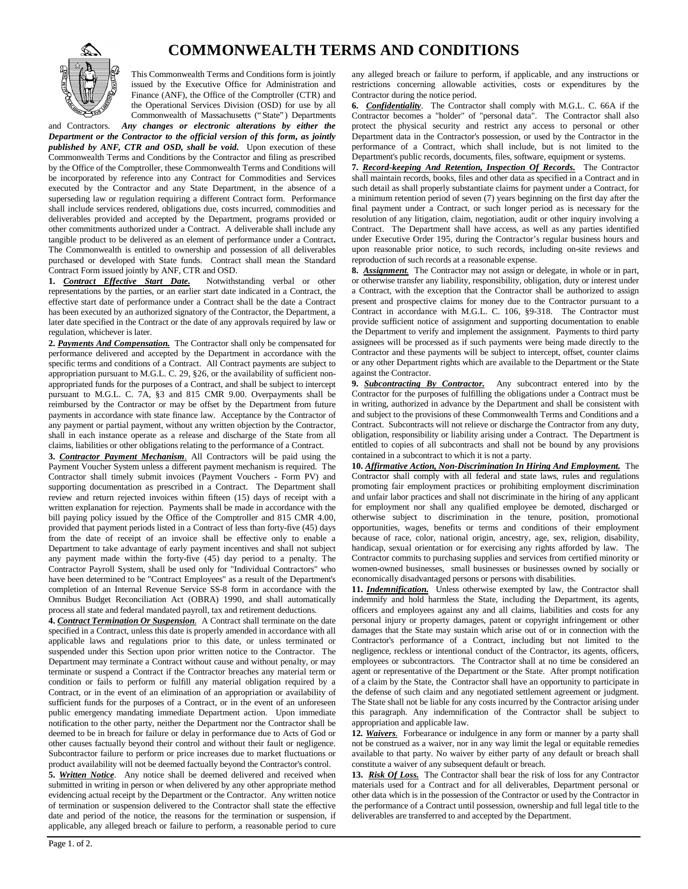## **COMMONWEALTH TERMS AND CONDITIONS**



This Commonwealth Terms and Conditions form is jointly issued by the Executive Office for Administration and Finance (ANF), the Office of the Comptroller (CTR) and the Operational Services Division (OSD) for use by all Commonwealth of Massachusetts ("State") Departments

and Contractors. *Any changes or electronic alterations by either the Department or the Contractor to the official version of this form, as jointly published by ANF, CTR and OSD, shall be void.* Upon execution of these Commonwealth Terms and Conditions by the Contractor and filing as prescribed by the Office of the Comptroller, these Commonwealth Terms and Conditions will be incorporated by reference into any Contract for Commodities and Services executed by the Contractor and any State Department, in the absence of a superseding law or regulation requiring a different Contract form. Performance shall include services rendered, obligations due, costs incurred, commodities and deliverables provided and accepted by the Department, programs provided or other commitments authorized under a Contract. A deliverable shall include any tangible product to be delivered as an element of performance under a Contract**.** The Commonwealth is entitled to ownership and possession of all deliverables purchased or developed with State funds. Contract shall mean the Standard Contract Form issued jointly by ANF, CTR and OSD.

**1.** *Contract Effective Start Date.* Notwithstanding verbal or other representations by the parties, or an earlier start date indicated in a Contract, the effective start date of performance under a Contract shall be the date a Contract has been executed by an authorized signatory of the Contractor, the Department, a later date specified in the Contract or the date of any approvals required by law or regulation, whichever is later.

**2.** *Payments And Compensation.* The Contractor shall only be compensated for performance delivered and accepted by the Department in accordance with the specific terms and conditions of a Contract. All Contract payments are subject to appropriation pursuant to M.G.L. C. 29, §26, or the availability of sufficient nonappropriated funds for the purposes of a Contract, and shall be subject to intercept pursuant to M.G.L. C. 7A, §3 and 815 CMR 9.00. Overpayments shall be reimbursed by the Contractor or may be offset by the Department from future payments in accordance with state finance law. Acceptance by the Contractor of any payment or partial payment, without any written objection by the Contractor, shall in each instance operate as a release and discharge of the State from all claims, liabilities or other obligations relating to the performance of a Contract.

**3.** *Contractor Payment Mechanism.* All Contractors will be paid using the Payment Voucher System unless a different payment mechanism is required. The Contractor shall timely submit invoices (Payment Vouchers - Form PV) and supporting documentation as prescribed in a Contract. The Department shall review and return rejected invoices within fifteen (15) days of receipt with a written explanation for rejection. Payments shall be made in accordance with the bill paying policy issued by the Office of the Comptroller and 815 CMR 4.00, provided that payment periods listed in a Contract of less than forty-five (45) days from the date of receipt of an invoice shall be effective only to enable a Department to take advantage of early payment incentives and shall not subject any payment made within the forty-five (45) day period to a penalty. The Contractor Payroll System, shall be used only for "Individual Contractors" who have been determined to be "Contract Employees" as a result of the Department's completion of an Internal Revenue Service SS-8 form in accordance with the Omnibus Budget Reconciliation Act (OBRA) 1990, and shall automatically process all state and federal mandated payroll, tax and retirement deductions.

**4.** *Contract Termination Or Suspension*. A Contract shall terminate on the date specified in a Contract, unless this date is properly amended in accordance with all applicable laws and regulations prior to this date, or unless terminated or suspended under this Section upon prior written notice to the Contractor. The Department may terminate a Contract without cause and without penalty, or may terminate or suspend a Contract if the Contractor breaches any material term or condition or fails to perform or fulfill any material obligation required by a Contract, or in the event of an elimination of an appropriation or availability of sufficient funds for the purposes of a Contract, or in the event of an unforeseen public emergency mandating immediate Department action. Upon immediate notification to the other party, neither the Department nor the Contractor shall be deemed to be in breach for failure or delay in performance due to Acts of God or other causes factually beyond their control and without their fault or negligence. Subcontractor failure to perform or price increases due to market fluctuations or product availability will not be deemed factually beyond the Contractor's control.

**5.** *Written Notice*. Any notice shall be deemed delivered and received when submitted in writing in person or when delivered by any other appropriate method evidencing actual receipt by the Department or the Contractor. Any written notice of termination or suspension delivered to the Contractor shall state the effective date and period of the notice, the reasons for the termination or suspension, if applicable, any alleged breach or failure to perform, a reasonable period to cure

any alleged breach or failure to perform, if applicable, and any instructions or restrictions concerning allowable activities, costs or expenditures by the Contractor during the notice period.

**6.** *Confidentiality*. The Contractor shall comply with M.G.L. C. 66A if the Contractor becomes a "holder" of "personal data". The Contractor shall also protect the physical security and restrict any access to personal or other Department data in the Contractor's possession, or used by the Contractor in the performance of a Contract, which shall include, but is not limited to the Department's public records, documents, files, software, equipment or systems.

**7.** *Record-keeping And Retention, Inspection Of Records.* The Contractor shall maintain records, books, files and other data as specified in a Contract and in such detail as shall properly substantiate claims for payment under a Contract, for a minimum retention period of seven (7) years beginning on the first day after the final payment under a Contract, or such longer period as is necessary for the resolution of any litigation, claim, negotiation, audit or other inquiry involving a Contract. The Department shall have access, as well as any parties identified under Executive Order 195, during the Contractor's regular business hours and upon reasonable prior notice, to such records, including on-site reviews and reproduction of such records at a reasonable expense.

**8.** *Assignment.* The Contractor may not assign or delegate, in whole or in part, or otherwise transfer any liability, responsibility, obligation, duty or interest under a Contract, with the exception that the Contractor shall be authorized to assign present and prospective claims for money due to the Contractor pursuant to a Contract in accordance with M.G.L. C. 106, §9-318. The Contractor must provide sufficient notice of assignment and supporting documentation to enable the Department to verify and implement the assignment. Payments to third party assignees will be processed as if such payments were being made directly to the Contractor and these payments will be subject to intercept, offset, counter claims or any other Department rights which are available to the Department or the State against the Contractor.

**9.** *Subcontracting By Contractor.* Any subcontract entered into by the Contractor for the purposes of fulfilling the obligations under a Contract must be in writing, authorized in advance by the Department and shall be consistent with and subject to the provisions of these Commonwealth Terms and Conditions and a Contract. Subcontracts will not relieve or discharge the Contractor from any duty, obligation, responsibility or liability arising under a Contract. The Department is entitled to copies of all subcontracts and shall not be bound by any provisions contained in a subcontract to which it is not a party.

**10.** *Affirmative Action, Non-Discrimination In Hiring And Employment.* The Contractor shall comply with all federal and state laws, rules and regulations promoting fair employment practices or prohibiting employment discrimination and unfair labor practices and shall not discriminate in the hiring of any applicant for employment nor shall any qualified employee be demoted, discharged or otherwise subject to discrimination in the tenure, position, promotional opportunities, wages, benefits or terms and conditions of their employment because of race, color, national origin, ancestry, age, sex, religion, disability, handicap, sexual orientation or for exercising any rights afforded by law. The Contractor commits to purchasing supplies and services from certified minority or women-owned businesses, small businesses or businesses owned by socially or economically disadvantaged persons or persons with disabilities.

**11.** *Indemnification.* Unless otherwise exempted by law, the Contractor shall indemnify and hold harmless the State, including the Department, its agents, officers and employees against any and all claims, liabilities and costs for any personal injury or property damages, patent or copyright infringement or other damages that the State may sustain which arise out of or in connection with the Contractor's performance of a Contract, including but not limited to the negligence, reckless or intentional conduct of the Contractor, its agents, officers, employees or subcontractors. The Contractor shall at no time be considered an agent or representative of the Department or the State. After prompt notification of a claim by the State, the Contractor shall have an opportunity to participate in the defense of such claim and any negotiated settlement agreement or judgment. The State shall not be liable for any costs incurred by the Contractor arising under this paragraph. Any indemnification of the Contractor shall be subject to appropriation and applicable law.

**12***. Waivers.* Forbearance or indulgence in any form or manner by a party shall not be construed as a waiver, nor in any way limit the legal or equitable remedies available to that party. No waiver by either party of any default or breach shall constitute a waiver of any subsequent default or breach.

**13.** *Risk Of Loss.* The Contractor shall bear the risk of loss for any Contractor materials used for a Contract and for all deliverables, Department personal or other data which is in the possession of the Contractor or used by the Contractor in the performance of a Contract until possession, ownership and full legal title to the deliverables are transferred to and accepted by the Department.